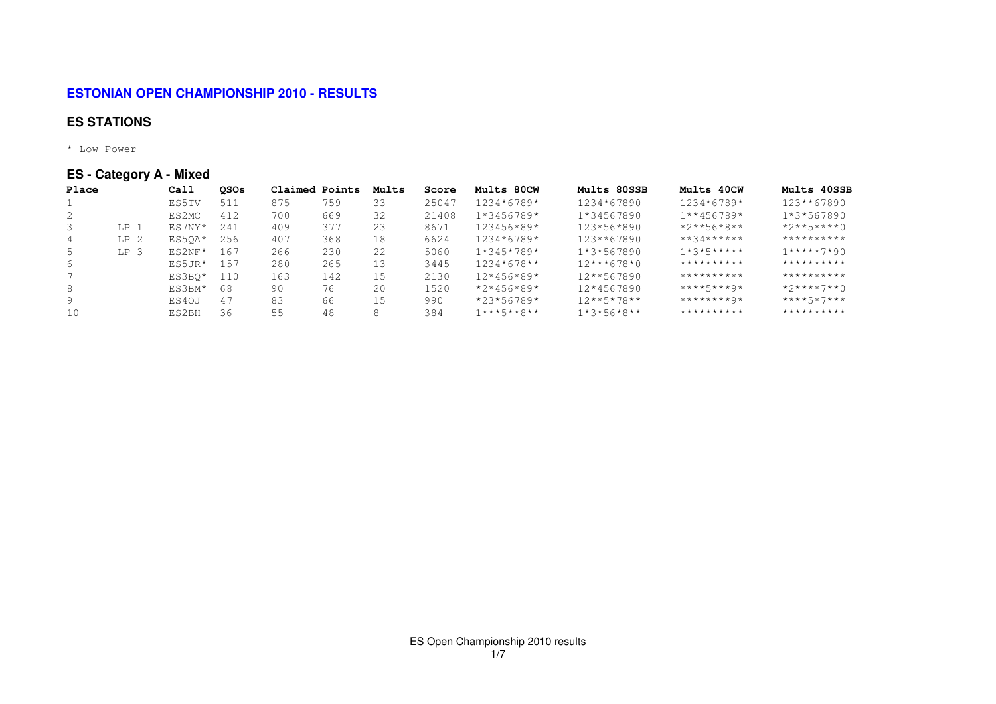# **ESTONIAN OPEN CHAMPIONSHIP 2010 - RESULTS**

#### **ES STATIONS**

\* Low Power

|  | <b>ES</b> - Category A - Mixed |  |  |
|--|--------------------------------|--|--|
|  |                                |  |  |

| Place |                 | Call     | <b>OSOs</b> | Claimed Points |     | Mults | Score | Mults 80CW    | Mults 80SSB   | Mults 40CW   | Mults 40SSB  |
|-------|-----------------|----------|-------------|----------------|-----|-------|-------|---------------|---------------|--------------|--------------|
|       |                 | ES5TV    | 511         | 875            | 759 | 33    | 25047 | 1234*6789*    | 1234*67890    | 1234*6789*   | 123**67890   |
|       |                 | ES2MC    | 412         | 700            | 669 | 32    | 21408 | $1*3456789*$  | 1*34567890    | $1**456789*$ | $1*3*567890$ |
| 3     | T.P 1           | $ES7NY*$ | 2.41        | 409            | 377 | 23    | 8671  | $123456*89*$  | $123*56*890$  | $*2**56*8**$ | $*2**5***0$  |
| 4     | LP <sub>2</sub> | ES50A*   | 256         | 407            | 368 | 18    | 6624  | $1234*6789*$  | $123**67890$  | $**34******$ | **********   |
| .5    | LP 3            | $ES2NF*$ | 167         | 266            | 230 | 22    | 5060  | $1*345*789*$  | $1*3*567890$  | $1*3*5***$   | $1****7*90$  |
| 6     |                 | $ES5JR*$ | 157         | 280            | 265 | 13    | 3445  | 1234*678**    | $12***678*0$  | **********   | **********   |
|       |                 | ES3BO*   | 110         | 163            | 142 | 15    | 2130  | $12*456*89*$  | $12***567890$ | **********   | **********   |
|       |                 | ES3BM*   | 68          | 90             | 76  | 20    | 1520  | $*2*456*89*$  | 12*4567890    | $***+5***9*$ | $*2***7**0$  |
|       |                 | ES40J    | 47          | 83             | 66  | 15    | 990   | $*23*56789*$  | $12***5*78**$ | ********0*   | ****5*7***   |
| 10    |                 | ES2BH    | 36          | 55             | 48  |       | 384   | $1***5***8**$ | $1*3*56*8**$  | **********   | **********   |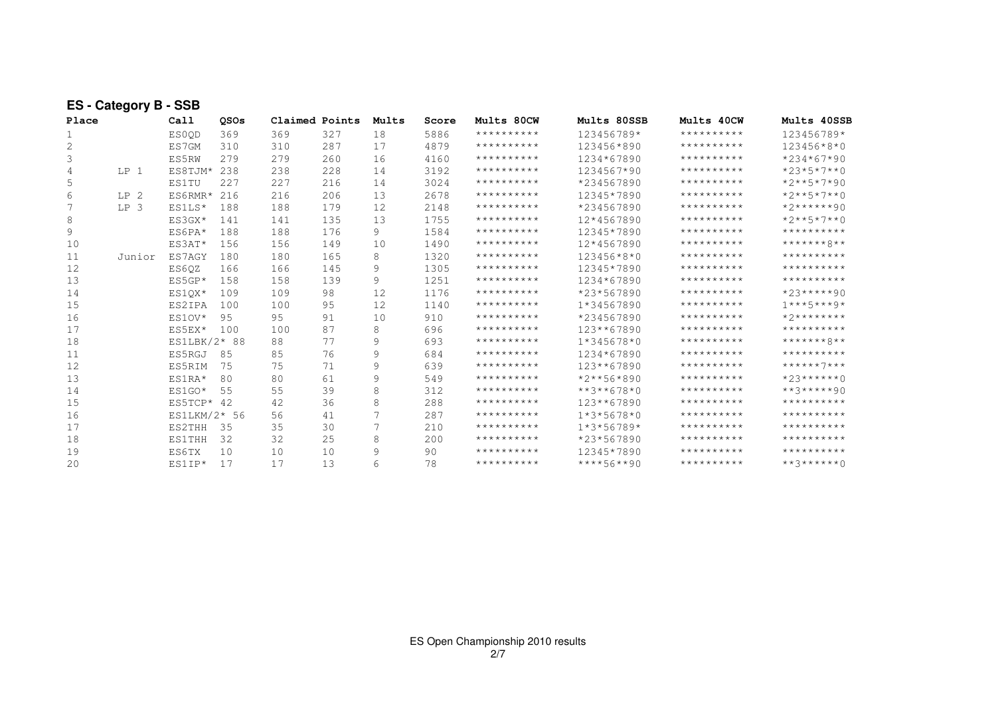|       | LU - ValcyVI y D - UUD |               |             |                |     |       |       |            |              |            |                  |
|-------|------------------------|---------------|-------------|----------------|-----|-------|-------|------------|--------------|------------|------------------|
| Place |                        | Call          | <b>OSOs</b> | Claimed Points |     | Mults | Score | Mults 80CW | Mults 80SSB  | Mults 40CW | Mults 40SSB      |
|       |                        | ES0QD         | 369         | 369            | 327 | 18    | 5886  | ********** | 123456789*   | ********** | 123456789*       |
| 2     |                        | ES7GM         | 310         | 310            | 287 | 17    | 4879  | ********** | 123456*890   | ********** | 123456*8*0       |
|       |                        | ES5RW         | 279         | 279            | 260 | 16    | 4160  | ********** | 1234*67890   | ********** | $*234 * 67 * 90$ |
| 4     | LP <sub>1</sub>        | ES8TJM*       | 238         | 238            | 228 | 14    | 3192  | ********** | 1234567*90   | ********** | $*23*5*7**0$     |
| 5     |                        | <b>ES1TU</b>  | 227         | 227            | 216 | 14    | 3024  | ********** | *234567890   | ********** | $*2**5*7*90$     |
| 6     | LP <sub>2</sub>        | ES6RMR*       | 216         | 216            | 206 | 13    | 2678  | ********** | 12345*7890   | ********** | $*2***5*7**0$    |
|       | LP<br>3                | ES1LS*        | 188         | 188            | 179 | 12    | 2148  | ********** | *234567890   | ********** | $*2*****90$      |
| 8     |                        | ES3GX*        | 141         | 141            | 135 | 13    | 1755  | ********** | 12*4567890   | ********** | $*2**5*7**0$     |
| 9     |                        | ES6PA*        | 188         | 188            | 176 | 9     | 1584  | ********** | 12345*7890   | ********** | **********       |
| 10    |                        | ES3AT*        | 156         | 156            | 149 | 10    | 1490  | ********** | 12*4567890   | ********** | $*******8***$    |
| 11    | Junior                 | ES7AGY        | 180         | 180            | 165 | 8     | 1320  | ********** | 123456*8*0   | ********** | **********       |
| 12    |                        | ES6QZ         | 166         | 166            | 145 | 9     | 1305  | ********** | 12345*7890   | ********** | **********       |
| 13    |                        | ES5GP*        | 158         | 158            | 139 | 9     | 1251  | ********** | 1234*67890   | ********** | **********       |
| 14    |                        | ES1QX*        | 109         | 109            | 98  | 12    | 1176  | ********** | *23*567890   | ********** | $*23****90$      |
| 15    |                        | ES2IPA        | 100         | 100            | 95  | 12    | 1140  | ********** | 1*34567890   | ********** | $1***5***9*$     |
| 16    |                        | ES1OV*        | 95          | 95             | 91  | 10    | 910   | ********** | *234567890   | ********** | $*2*********$    |
| 17    |                        | ES5EX*        | 100         | 100            | 87  | 8     | 696   | ********** | 123**67890   | ********** | **********       |
| 18    |                        | $ES1LBK/2*88$ |             | 88             | 77  | 9     | 693   | ********** | $1*345678*0$ | ********** | $*******8***$    |
| 11    |                        | ES5RGJ        | 85          | 85             | 76  | 9     | 684   | ********** | 1234*67890   | ********** | **********       |
| 12    |                        | ES5RIM        | 75          | 75             | 71  | 9     | 639   | ********** | 123**67890   | ********** | $******7***$     |
| 13    |                        | ES1RA*        | 80          | 80             | 61  | 9     | 549   | ********** | $*2**56*890$ | ********** | $*23******0$     |
| 14    |                        | ES1GO*        | 55          | 55             | 39  | 8     | 312   | ********** | $**3**678*0$ | ********** | $***3****90$     |
| 15    |                        | ES5TCP*       | 42          | 42             | 36  | 8     | 288   | ********** | $123**67890$ | ********** | **********       |
| 16    |                        | ES1LKM/2* 56  |             | 56             | 41  |       | 287   | ********** | $1*3*5678*0$ | ********** | **********       |
| 17    |                        | ES2THH        | 35          | 35             | 30  |       | 210   | ********** | $1*3*56789*$ | ********** | **********       |
| 18    |                        | <b>ES1THH</b> | 32          | 32             | 25  | 8     | 200   | ********** | *23*567890   | ********** | **********       |
| 19    |                        | ES6TX         | 10          | 10             | 10  | 9     | 90    | ********** | 12345*7890   | ********** | **********       |
| 20    |                        | ES1IP*        | 17          | 17             | 13  |       | 78    | ********** | ****56**90   | ********** | $**7*****0$      |

### **ES - Category B - SSB**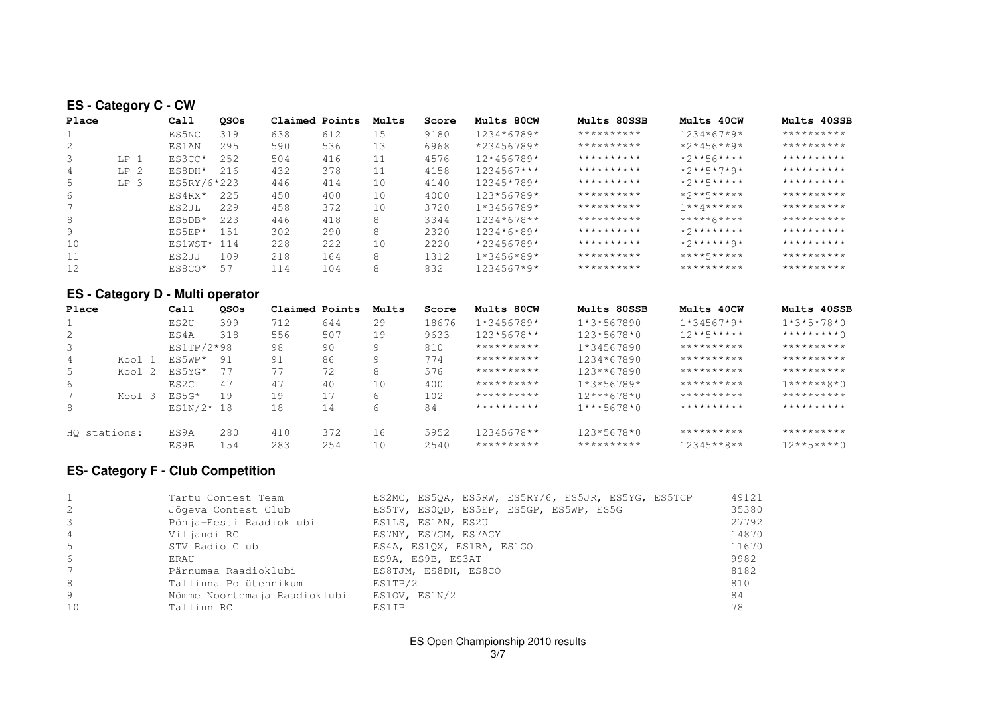# **ES - Category C - CW**

| Place |                 | Call          | <b>OSOs</b> | Claimed Points |     | Mults | Score | Mults 80CW   | Mults 80SSB | Mults 40CW              | Mults 40SSB |
|-------|-----------------|---------------|-------------|----------------|-----|-------|-------|--------------|-------------|-------------------------|-------------|
|       |                 | ES5NC         | 319         | 638            | 612 | 15    | 9180  | 1234*6789*   | **********  | $1234*67*9*$            | **********  |
|       |                 | ES1AN         | 295         | 590            | 536 | 13    | 6968  | *23456789*   | **********  | $*2*456**9*$            | **********  |
| 3     | $L_{\rm P}$     | ES3CC*        | 252         | 504            | 416 |       | 4576  | 12*456789*   | **********  | $*2***56***$            | **********  |
| 4     | LP <sub>2</sub> | $ES8DH*$      | 216         | 432            | 378 | 11    | 4158  | 1234567***   | **********  | $*2***5*7*9*$           | **********  |
| 5     | LP 3            | ES5RY/6*223   |             | 446            | 414 | 10    | 4140  | 12345*789*   | **********  | $*$ 2 * * 5 * * * * *   | **********  |
| 6     |                 | $ES4RX*$      | 225         | 450            | 400 | 10    | 4000  | $123*56789*$ | **********  | $*2***5***$             | **********  |
|       |                 | ES2JL         | 229         | 458            | 372 | 10    | 3720  | $1*3456789*$ | **********  | $7$ * * $4$ * * * * * * | **********  |
|       |                 | $ES5DB*$      | 223         | 446            | 418 |       | 3344  | $1234*678**$ | **********  |                         | **********  |
|       |                 | $ESSEP*$      | 151         | 302            | 290 | 8     | 2320  | $1234*6*89*$ | **********  | * ? * * * * * * * *     | **********  |
| 10    |                 | $ES1WST* 114$ |             | 228            | 222 | 10    | 2220  | $*23456789*$ | **********  | $*2******9*$            | **********  |
|       |                 | ES2JJ         | 109         | 218            | 164 | 8     | 1312  | 1*3456*89*   | **********  | ****5*****              | **********  |
|       |                 | ES8CO*        | 57          | 114            | 104 |       | 832   | 1234567*9*   | **********  | **********              | **********  |

# **ES - Category D - Multi operator**

| Place        |      | Call              | <b>OSOs</b> | Claimed Points |     | Mults | Score | Mults 80CW   | Mults 80SSB  | Mults 40CW    | Mults 40SSB             |
|--------------|------|-------------------|-------------|----------------|-----|-------|-------|--------------|--------------|---------------|-------------------------|
|              |      | ES2U              | 399         | 712            | 644 | 29    | 18676 | $1*3456789*$ | $1*3*567890$ | $1*34567*9*$  | $1*3*5*78*0$            |
|              |      | ES4A              | 318         | 556            | 507 | 19    | 9633  | $123*5678**$ | $123*5678*0$ | $12***5*****$ | $***$ * * * * * * * * 0 |
|              |      | $ES1TP/2*98$      |             | 98             | 90  | 9     | 810   | **********   | 1*34567890   | **********    | **********              |
| 4            | Kool | $ES5WP*$          | -91         | 91             | 86  | 9     | 774   | **********   | 1234*67890   | **********    | **********              |
| 5            | Kool | ES5YG*            | 77          | 77             | 72  | 8     | 576   | **********   | $123**67890$ | **********    | **********              |
| 6            |      | ES <sub>2</sub> C | 47          | 47             | 40  | 10    | 400   | **********   | $1*3*56789*$ | **********    | $1******R*0$            |
|              | Kool | $ES5G*$           | 19          | 19             |     | 6     | 102   | **********   | $12***678*0$ | **********    | **********              |
| 8            |      | $ES1N/2*18$       |             | 18             | 14  | 6     | 84    | **********   | $1***5678*0$ | **********    | **********              |
| HO stations: |      | ES9A              | 280         | 410            | 372 | 16    | 5952  | $12345678**$ | $123*5678*0$ | **********    | **********              |
|              |      | ES9B              | 154         | 283            | 254 | 10    | 2540  | **********   | **********   | $12345***8**$ | $12***5***0$            |

#### **ES- Category F - Club Competition**

|                | Tartu Contest Team           | ES2MC, ES5QA, ES5RW, ES5RY/6, ES5JR, ES5YG, ES5TCP | 49121 |
|----------------|------------------------------|----------------------------------------------------|-------|
| -2             | Jõgeva Contest Club          | ES5TV, ESOQD, ES5EP, ES5GP, ES5WP, ES5G            | 35380 |
| -3             | Põhja-Eesti Raadioklubi      | ES1LS, ES1AN, ES2U                                 | 27792 |
| $\overline{4}$ | Viljandi RC                  | ES7NY, ES7GM, ES7AGY                               | 14870 |
| - 5            | STV Radio Club               | ES4A, ES1QX, ES1RA, ES1GO                          | 11670 |
| 6              | ERAU                         | ES9A, ES9B, ES3AT                                  | 9982  |
|                | Pärnumaa Raadioklubi         | ES8TJM, ES8DH, ES8CO                               | 8182  |
| 8              | Tallinna Polütehnikum        | ES1TP/2                                            | 810   |
| 9              | Nõmme Noortemaja Raadioklubi | ES1OV, ES1N/2                                      | 84    |
| 10             | Tallinn RC                   | ES1IP                                              | 78    |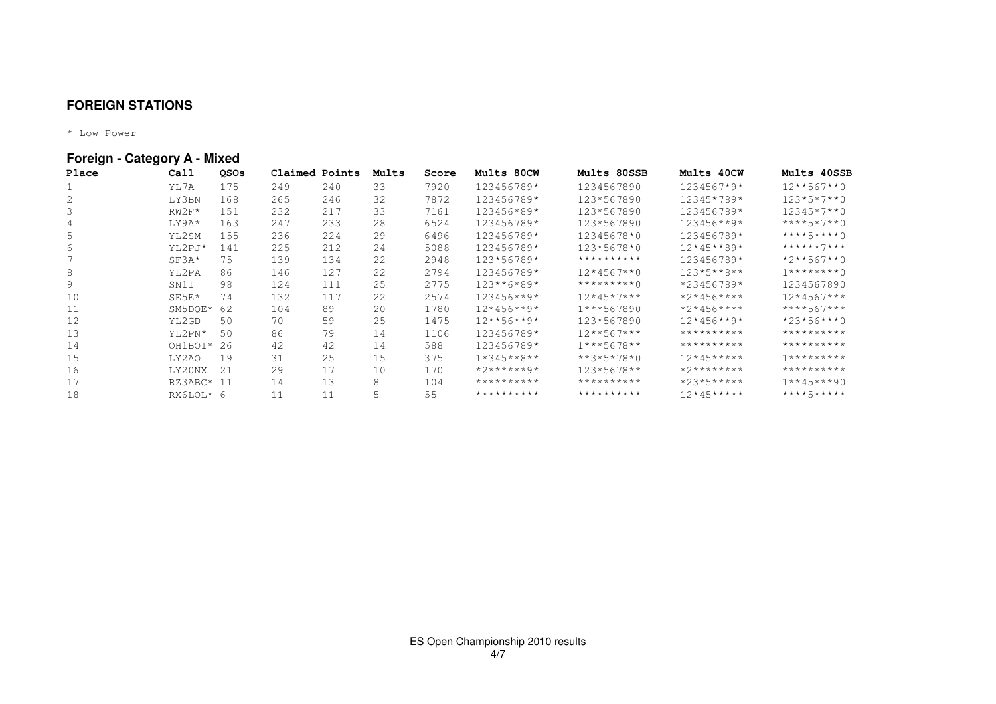# **FOREIGN STATIONS**

\* Low Power

# **Foreign - Category A - Mixed**

| Place | Call       | <b>OSOs</b> | Claimed Points |     | Mults | Score | Mults 80CW     | Mults 80SSB             | Mults 40CW    | Mults 40SSB             |
|-------|------------|-------------|----------------|-----|-------|-------|----------------|-------------------------|---------------|-------------------------|
|       | YL7A       | 175         | 249            | 240 | 33    | 7920  | 123456789*     | 1234567890              | 1234567*9*    | $12***567**0$           |
|       | LY3BN      | 168         | 265            | 246 | 32    | 7872  | 123456789*     | 123*567890              | 12345*789*    | $123*5*7**0$            |
|       | $RW2F*$    | 151         | 232            | 217 | 33    | 7161  | 123456*89*     | 123*567890              | 123456789*    | 12345*7**0              |
| 4     | LY9A*      | 163         | 247            | 233 | 28    | 6524  | 123456789*     | 123*567890              | $123456***9*$ | $***+5*7**0$            |
|       | YL2SM      | 155         | 236            | 224 | 29    | 6496  | 123456789*     | 12345678*0              | 123456789*    | $***5***0$              |
| 6     | YL2PJ*     | 141         | 225            | 212 | 24    | 5088  | 123456789*     | 123*5678*0              | $12*45**89*$  | ******7***              |
|       | $SF3A*$    | 75          | 139            | 134 | 22    | 2948  | 123*56789*     | **********              | 123456789*    | $*2**567**0$            |
| 8     | YL2PA      | 86          | 146            | 127 | 22    | 2794  | 123456789*     | $12*4567**0$            | $123*5***8**$ | $1$ ********0           |
| 9     | SN1I       | 98          | 124            | 111 | 25    | 2775  | $123***6*89*$  | $***$ * * * * * * * * 0 | *23456789*    | 1234567890              |
| 10    | SE5E*      | 74          | 132            | 117 | 22    | 2574  | 123456**9*     | $12*45*7***$            | $*2*456***$   | $12*4567***$            |
| 11    | SM5DOE*    | 62          | 104            | 89  | 20    | 1780  | $12*456**9*$   | $1***567890$            | $*2*456***$   | ****567***              |
| 12    | YL2GD      | 50          | 70             | 59  | 25    | 1475  | $12***56***9*$ | 123*567890              | $12*456**9*$  | $*23*56***0$            |
| 13    | YL2PN*     | 50          | 86             | 79  | 14    | 1106  | 123456789*     | $12***567***$           | **********    | **********              |
| 14    | OH1BOI*    | -26         | 42             | 42  | 14    | 588   | 123456789*     | $1***5678**$            | **********    | **********              |
| 15    | LY2AO      | 19          | 31             | 25  | 15    | 375   | $1*345***8**$  | **3*5*78*0              | $12*45***$    | $7$ * * * * * * * * *   |
| 16    | LY20NX     | 21          | 29             | 17  | 10    | 170   | $*2******9*$   | $123*5678**$            | $*2*********$ | **********              |
|       | RZ3ABC* 11 |             | 14             | 13  | 8     | 104   | **********     | **********              | $*23*5***$    | $1***45***90$           |
| 18    | RX6LOL* 6  |             | 11             | 11  |       | 55    | **********     | **********              | $12*45***$    | $* * * * 5 * * * * * *$ |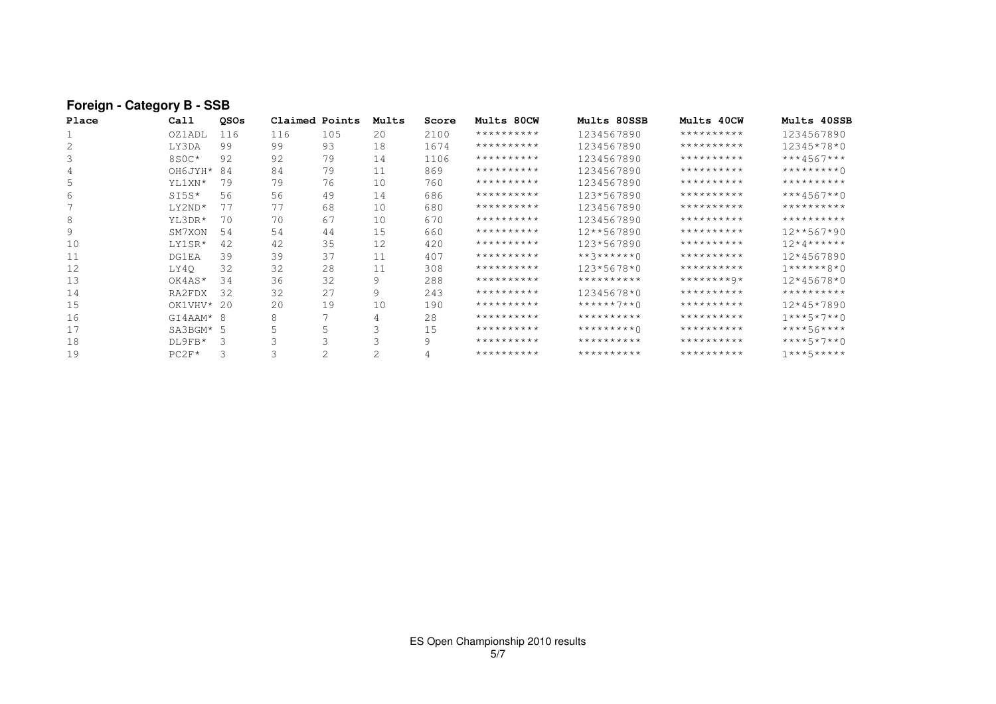|       | <b>FUIBIUI - CAIBUIUI D - 33D</b> |             |                |                |       |       |            |                          |            |                          |
|-------|-----------------------------------|-------------|----------------|----------------|-------|-------|------------|--------------------------|------------|--------------------------|
| Place | Call                              | <b>OSOs</b> | Claimed Points |                | Mults | Score | Mults 80CW | Mults 80SSB              | Mults 40CW | Mults 40SSB              |
|       | OZ1ADL                            | 116         | 116            | 105            | 20    | 2100  | ********** | 1234567890               | ********** | 1234567890               |
|       | LY3DA                             | 99          | 99             | 93             | 18    | 1674  | ********** | 1234567890               | ********** | 12345*78*0               |
|       | $8SOC*$                           | 92          | 92             | 79             | 14    | 1106  | ********** | 1234567890               | ********** | $***4567***$             |
|       | OH6JYH*                           | 84          | 84             | 79             | 11    | 869   | ********** | 1234567890               | ********** | $* * * * * * * * * \cap$ |
| 5     | YL1XN*                            | 79          | 79             | 76             | 10    | 760   | ********** | 1234567890               | ********** | **********               |
| 6     | $SISS*$                           | 56          | 56             | 49             | 14    | 686   | ********** | 123*567890               | ********** | $***4567**0$             |
|       | LY2ND*                            | 77          | 77             | 68             | 10    | 680   | ********** | 1234567890               | ********** | **********               |
| 8     | YL3DR*                            | 70          | 70             | 67             | 10    | 670   | ********** | 1234567890               | ********** | **********               |
| 9     | SM7XON                            | 54          | 54             | 44             | 15    | 660   | ********** | 12**567890               | ********** | $12**567*90$             |
| 10    | LY1SR*                            | 42          | 42             | 35             | 12    | 420   | ********** | 123*567890               | ********** | $12*4******$             |
| 11    | DG1EA                             | 39          | 39             | 37             | 11    | 407   | ********** | $***$ 3 * * * * * * 0    | ********** | 12*4567890               |
| 12    | LY4Q                              | 32          | 32             | 28             | 11    | 308   | ********** | 123*5678*0               | ********** | $1******8*0$             |
| 13    | OK4AS*                            | 34          | 36             | 32             | 9     | 288   | ********** | **********               | ********0* | 12*45678*0               |
| 14    | RA2FDX                            | 32          | 32             | 27             | 9     | 243   | ********** | 12345678*0               | ********** | **********               |
| 15    | OK1VHV*                           | -20         | 20             | 19             | 10    | 190   | ********** | $* * * * * * 7 * * 0$    | ********** | 12*45*7890               |
| 16    | GI4AAM*                           | -8          | 8              |                | 4     | 28    | ********** | **********               | ********** | $1***5*7**0$             |
| 17    | SA3BGM* 5                         |             |                |                |       | 15    | ********** | $* * * * * * * * * \cap$ | ********** | $***56***$               |
| 18    | $DL9FB*$                          | 3           | 3              | 3              |       | 9     | ********** | **********               | ********** | $***+5*7**0$             |
| 19    | $PC2F*$                           | 3           |                | $\mathfrak{D}$ |       |       | ********** | **********               | ********** | $1$ ***5*****            |
|       |                                   |             |                |                |       |       |            |                          |            |                          |

#### **Foreign - Category B - SSB**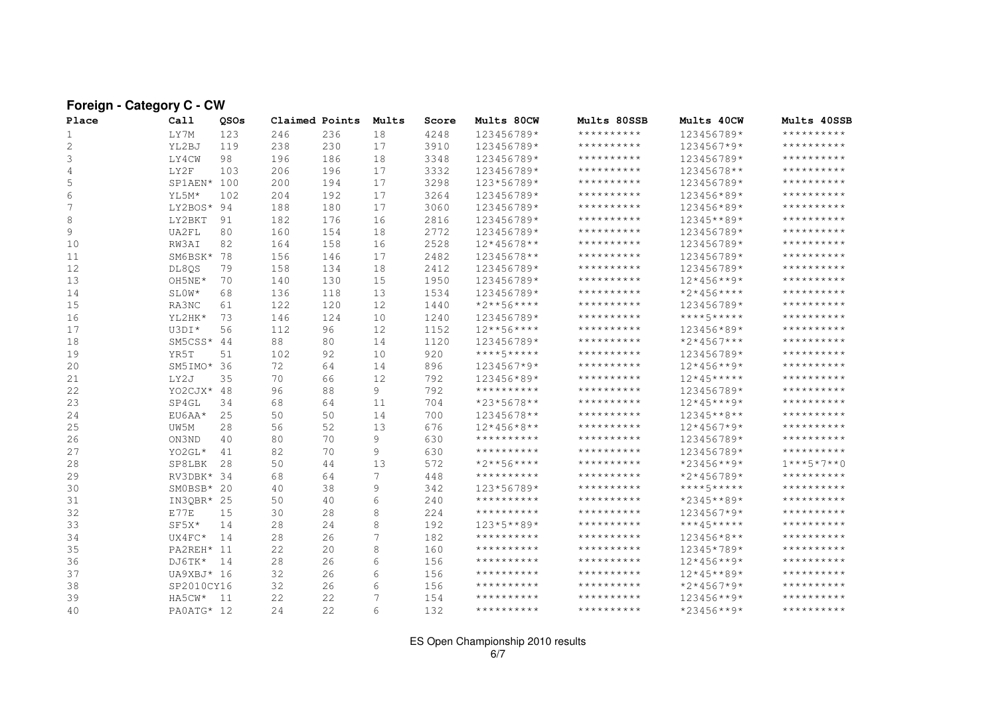|       | i vrvigir valogory v |      |     |                |       |       |               |             |               |                |
|-------|----------------------|------|-----|----------------|-------|-------|---------------|-------------|---------------|----------------|
| Place | Call                 | QSOs |     | Claimed Points | Mults | Score | Mults 80CW    | Mults 80SSB | Mults 40CW    | Mults 40SSB    |
| 1     | LY7M                 | 123  | 246 | 236            | 18    | 4248  | 123456789*    | **********  | 123456789*    | **********     |
| 2     | YL2BJ                | 119  | 238 | 230            | 17    | 3910  | 123456789*    | **********  | 1234567*9*    | **********     |
| 3     | LY4CW                | 98   | 196 | 186            | 18    | 3348  | 123456789*    | **********  | 123456789*    | **********     |
| 4     | LY2F                 | 103  | 206 | 196            | 17    | 3332  | 123456789*    | **********  | 12345678**    | **********     |
| 5     | SP1AEN* 100          |      | 200 | 194            | 17    | 3298  | 123*56789*    | **********  | 123456789*    | **********     |
| 6     | YL5M*                | 102  | 204 | 192            | 17    | 3264  | 123456789*    | **********  | 123456*89*    | **********     |
| 7     | LY2BOS* 94           |      | 188 | 180            | 17    | 3060  | 123456789*    | **********  | 123456*89*    | **********     |
| 8     | LY2BKT               | 91   | 182 | 176            | 16    | 2816  | 123456789*    | **********  | 12345**89*    | **********     |
| 9     | UA2FL                | 80   | 160 | 154            | 18    | 2772  | 123456789*    | **********  | 123456789*    | **********     |
| 10    | RW3AI                | 82   | 164 | 158            | 16    | 2528  | $12*45678**$  | **********  | 123456789*    | **********     |
| 11    | SM6BSK*              | 78   | 156 | 146            | 17    | 2482  | 12345678**    | **********  | 123456789*    | **********     |
| 12    | DL8QS                | 79   | 158 | 134            | 18    | 2412  | 123456789*    | **********  | 123456789*    | **********     |
| 13    | OH5NE*               | 70   | 140 | 130            | 15    | 1950  | 123456789*    | **********  | $12*456**9*$  | **********     |
| 14    | SLOW*                | 68   | 136 | 118            | 13    | 1534  | 123456789*    | **********  | $*2*456***$   | **********     |
| 15    | RA3NC                | 61   | 122 | 120            | 12    | 1440  | $*2***56****$ | **********  | 123456789*    | **********     |
| 16    | YL2HK*               | 73   | 146 | 124            | 10    | 1240  | 123456789*    | **********  | $***5***$     | **********     |
| 17    | U3DI*                | 56   | 112 | 96             | 12    | 1152  | $12***56****$ | **********  | 123456*89*    | **********     |
| 18    | SM5CSS* 44           |      | 88  | 80             | 14    | 1120  | 123456789*    | **********  | $*2*4567***$  | $************$ |
| 19    | YR5T                 | 51   | 102 | 92             | 10    | 920   | $***+5***$    | **********  | 123456789*    | **********     |
| 20    | SM5IMO*              | -36  | 72  | 64             | 14    | 896   | 1234567*9*    | **********  | $12*456**9*$  | **********     |
| 21    | LY2J                 | 35   | 70  | 66             | 12    | 792   | 123456*89*    | **********  | $12*45***$    | $************$ |
| 22    | YO2CJX* 48           |      | 96  | 88             | 9     | 792   | **********    | **********  | 123456789*    | **********     |
| 23    | SP4GL                | 34   | 68  | 64             | 11    | 704   | $*23*5678**$  | **********  | $12*45***9*$  | **********     |
| 24    | EU6AA*               | 25   | 50  | 50             | 14    | 700   | 12345678**    | **********  | $12345***8**$ | **********     |
| 25    | UW5M                 | 2.8  | 56  | 52             | 13    | 676   | $12*456*8**$  | **********  | $12*4567*9*$  | **********     |
| 26    | ON3ND                | 40   | 80  | 70             | 9     | 630   | **********    | **********  | 123456789*    | **********     |
| 27    | YO2GL*               | 41   | 82  | 70             | 9     | 630   | **********    | **********  | 123456789*    | **********     |
| 28    | SP8LBK               | 2.8  | 50  | 44             | 13    | 572   | $*2***56****$ | **********  | $*23456***9*$ | $1***5*7**0$   |
| 29    | RV3DBK* 34           |      | 68  | 64             | 7     | 448   | **********    | **********  | $*2*456789*$  | **********     |
| 30    | SMOBSB* 20           |      | 40  | 38             | 9     | 342   | 123*56789*    | **********  | $***5***$     | **********     |
| 31    | IN3QBR* 25           |      | 50  | 40             | 6     | 240   | **********    | **********  | *2345**89*    | **********     |
| 32    | E77E                 | 15   | 30  | 28             | 8     | 224   |               | **********  | 1234567*9*    | **********     |
| 33    | $SF5X*$              | 14   | 28  | 24             | 8     | 192   | $123*5**89*$  | **********  | ***45*****    | **********     |
| 34    | UX4FC*               | 14   | 28  | 26             | 7     | 182   | **********    | **********  | 123456*8**    | **********     |
| 35    | PA2REH* 11           |      | 22  | 20             | 8     | 160   | **********    | **********  | 12345*789*    | **********     |
| 36    | DJ6TK*               | 14   | 28  | 26             | 6     | 156   | **********    | **********  | $12*456**9*$  | **********     |
| 37    | UA9XBJ* 16           |      | 32  | 26             | 6     | 156   | **********    | **********  | 12*45**89*    | **********     |
| 38    | SP2010CY16           |      | 32  | 26             | 6     | 156   | **********    | **********  | $*2*4567*9*$  | **********     |
| 39    | HA5CW*               | - 11 | 22  | 22             | 7     | 154   | **********    | **********  | 123456**9*    | **********     |
| 40    | $PA0ATG* 12$         |      | 2.4 | 2.2.           | 6     | 132   | **********    | **********  | $*23456***9*$ | **********     |

#### **Foreign - Category C - CW**

ES Open Championship 2010 results 6/7